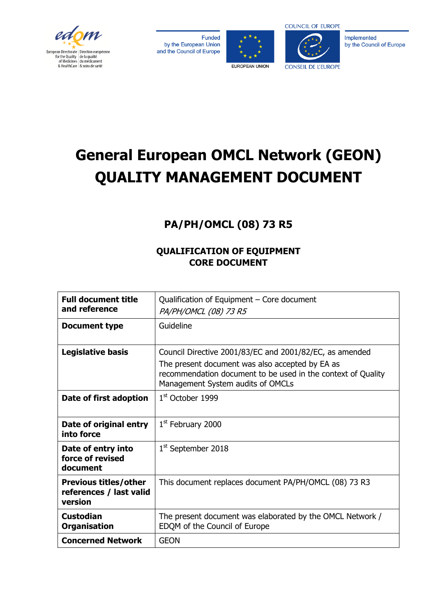

Funded by the European Union and the Council of Europe





Implemented by the Council of Europe

# **General European OMCL Network (GEON) QUALITY MANAGEMENT DOCUMENT**

## **PA/PH/OMCL (08) 73 R5**

## **QUALIFICATION OF EQUIPMENT CORE DOCUMENT**

| <b>Full document title</b>                                         | Qualification of Equipment - Core document                                                                                                           |
|--------------------------------------------------------------------|------------------------------------------------------------------------------------------------------------------------------------------------------|
| and reference                                                      | PA/PH/OMCL (08) 73 R5                                                                                                                                |
| <b>Document type</b>                                               | Guideline                                                                                                                                            |
|                                                                    |                                                                                                                                                      |
| Legislative basis                                                  | Council Directive 2001/83/EC and 2001/82/EC, as amended                                                                                              |
|                                                                    | The present document was also accepted by EA as<br>recommendation document to be used in the context of Quality<br>Management System audits of OMCLs |
| Date of first adoption                                             | $1st$ October 1999                                                                                                                                   |
| Date of original entry<br>into force                               | $1st$ February 2000                                                                                                                                  |
| Date of entry into<br>force of revised<br>document                 | 1 <sup>st</sup> September 2018                                                                                                                       |
| <b>Previous titles/other</b><br>references / last valid<br>version | This document replaces document PA/PH/OMCL (08) 73 R3                                                                                                |
| <b>Custodian</b><br><b>Organisation</b>                            | The present document was elaborated by the OMCL Network /<br>EDQM of the Council of Europe                                                           |
| <b>Concerned Network</b>                                           | <b>GEON</b>                                                                                                                                          |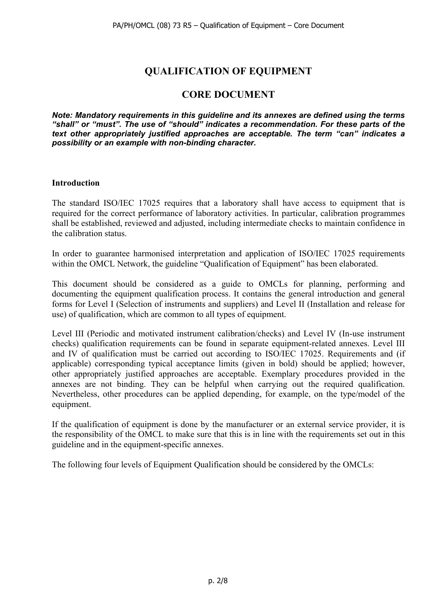## **QUALIFICATION OF EQUIPMENT**

## **CORE DOCUMENT**

*Note: Mandatory requirements in this guideline and its annexes are defined using the terms "shall" or "must". The use of "should" indicates a recommendation. For these parts of the text other appropriately justified approaches are acceptable. The term "can" indicates a possibility or an example with non-binding character.*

## **Introduction**

The standard ISO/IEC 17025 requires that a laboratory shall have access to equipment that is required for the correct performance of laboratory activities. In particular, calibration programmes shall be established, reviewed and adjusted, including intermediate checks to maintain confidence in the calibration status.

In order to guarantee harmonised interpretation and application of ISO/IEC 17025 requirements within the OMCL Network, the guideline "Qualification of Equipment" has been elaborated.

This document should be considered as a guide to OMCLs for planning, performing and documenting the equipment qualification process. It contains the general introduction and general forms for Level I (Selection of instruments and suppliers) and Level II (Installation and release for use) of qualification, which are common to all types of equipment.

Level III (Periodic and motivated instrument calibration/checks) and Level IV (In-use instrument checks) qualification requirements can be found in separate equipment-related annexes. Level III and IV of qualification must be carried out according to ISO/IEC 17025. Requirements and (if applicable) corresponding typical acceptance limits (given in bold) should be applied; however, other appropriately justified approaches are acceptable. Exemplary procedures provided in the annexes are not binding. They can be helpful when carrying out the required qualification. Nevertheless, other procedures can be applied depending, for example, on the type/model of the equipment.

If the qualification of equipment is done by the manufacturer or an external service provider, it is the responsibility of the OMCL to make sure that this is in line with the requirements set out in this guideline and in the equipment-specific annexes.

The following four levels of Equipment Qualification should be considered by the OMCLs: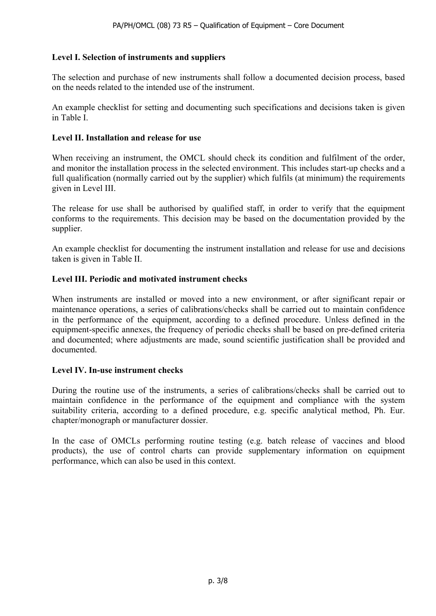## **Level I. Selection of instruments and suppliers**

The selection and purchase of new instruments shall follow a documented decision process, based on the needs related to the intended use of the instrument.

An example checklist for setting and documenting such specifications and decisions taken is given in Table I.

## **Level II. Installation and release for use**

When receiving an instrument, the OMCL should check its condition and fulfilment of the order, and monitor the installation process in the selected environment. This includes start-up checks and a full qualification (normally carried out by the supplier) which fulfils (at minimum) the requirements given in Level III.

The release for use shall be authorised by qualified staff, in order to verify that the equipment conforms to the requirements. This decision may be based on the documentation provided by the supplier.

An example checklist for documenting the instrument installation and release for use and decisions taken is given in Table II.

## **Level III. Periodic and motivated instrument checks**

When instruments are installed or moved into a new environment, or after significant repair or maintenance operations, a series of calibrations/checks shall be carried out to maintain confidence in the performance of the equipment, according to a defined procedure. Unless defined in the equipment-specific annexes, the frequency of periodic checks shall be based on pre-defined criteria and documented; where adjustments are made, sound scientific justification shall be provided and documented.

#### **Level IV. In-use instrument checks**

During the routine use of the instruments, a series of calibrations/checks shall be carried out to maintain confidence in the performance of the equipment and compliance with the system suitability criteria, according to a defined procedure, e.g. specific analytical method, Ph. Eur. chapter/monograph or manufacturer dossier.

In the case of OMCLs performing routine testing (e.g. batch release of vaccines and blood products), the use of control charts can provide supplementary information on equipment performance, which can also be used in this context.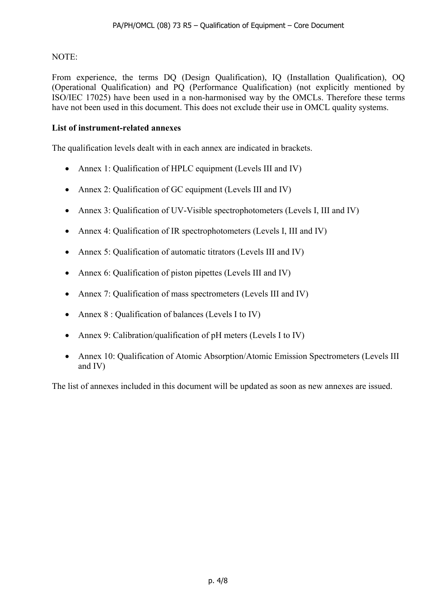## NOTE:

From experience, the terms DQ (Design Qualification), IQ (Installation Qualification), OQ (Operational Qualification) and PQ (Performance Qualification) (not explicitly mentioned by ISO/IEC 17025) have been used in a non-harmonised way by the OMCLs. Therefore these terms have not been used in this document. This does not exclude their use in OMCL quality systems.

## **List of instrument-related annexes**

The qualification levels dealt with in each annex are indicated in brackets.

- Annex 1: Qualification of HPLC equipment (Levels III and IV)
- Annex 2: Qualification of GC equipment (Levels III and IV)
- Annex 3: Qualification of UV-Visible spectrophotometers (Levels I, III and IV)
- Annex 4: Qualification of IR spectrophotometers (Levels I, III and IV)
- Annex 5: Qualification of automatic titrators (Levels III and IV)
- Annex 6: Qualification of piston pipettes (Levels III and IV)
- Annex 7: Qualification of mass spectrometers (Levels III and IV)
- Annex 8 : Qualification of balances (Levels I to IV)
- Annex 9: Calibration/qualification of pH meters (Levels I to IV)
- Annex 10: Qualification of Atomic Absorption/Atomic Emission Spectrometers (Levels III and IV)

The list of annexes included in this document will be updated as soon as new annexes are issued.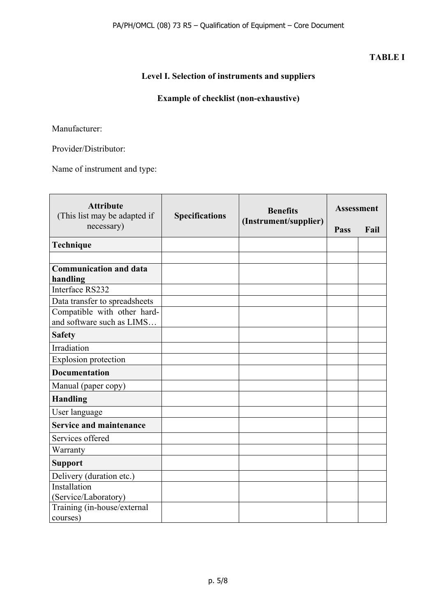## **TABLE I**

## **Level I. Selection of instruments and suppliers**

## **Example of checklist (non-exhaustive)**

Manufacturer:

Provider/Distributor:

Name of instrument and type:

| <b>Attribute</b><br>(This list may be adapted if         | <b>Specifications</b> | <b>Benefits</b>       | <b>Assessment</b> |      |
|----------------------------------------------------------|-----------------------|-----------------------|-------------------|------|
| necessary)                                               |                       | (Instrument/supplier) | Pass              | Fail |
| Technique                                                |                       |                       |                   |      |
|                                                          |                       |                       |                   |      |
| <b>Communication and data</b><br>handling                |                       |                       |                   |      |
| Interface RS232                                          |                       |                       |                   |      |
| Data transfer to spreadsheets                            |                       |                       |                   |      |
| Compatible with other hard-<br>and software such as LIMS |                       |                       |                   |      |
| <b>Safety</b>                                            |                       |                       |                   |      |
| Irradiation                                              |                       |                       |                   |      |
| <b>Explosion protection</b>                              |                       |                       |                   |      |
| <b>Documentation</b>                                     |                       |                       |                   |      |
| Manual (paper copy)                                      |                       |                       |                   |      |
| <b>Handling</b>                                          |                       |                       |                   |      |
| User language                                            |                       |                       |                   |      |
| <b>Service and maintenance</b>                           |                       |                       |                   |      |
| Services offered                                         |                       |                       |                   |      |
| Warranty                                                 |                       |                       |                   |      |
| <b>Support</b>                                           |                       |                       |                   |      |
| Delivery (duration etc.)                                 |                       |                       |                   |      |
| Installation<br>(Service/Laboratory)                     |                       |                       |                   |      |
| Training (in-house/external<br>courses)                  |                       |                       |                   |      |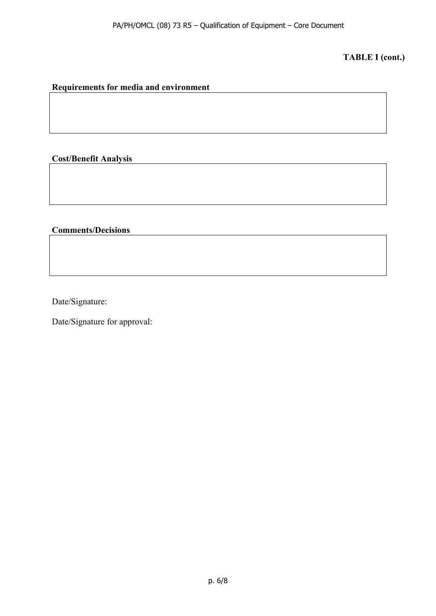## **TABLE I (cont.)**

## **Requirements for media and environment**

## **Cost/Benefit Analysis**

## **Comments/Decisions**

Date/Signature:

Date/Signature for approval: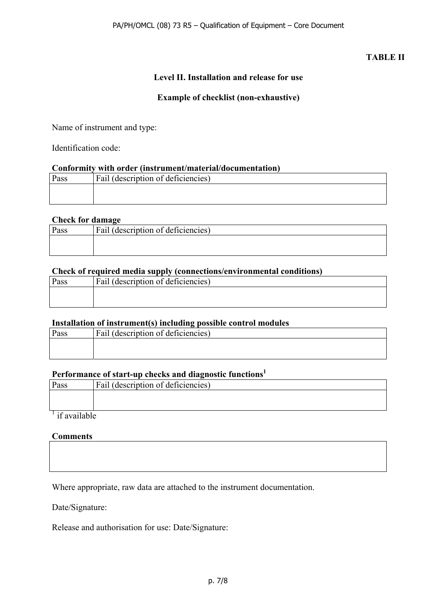## **TABLE II**

## **Level II. Installation and release for use**

## **Example of checklist (non-exhaustive)**

Name of instrument and type:

Identification code:

#### **Conformity with order (instrument/material/documentation)**

| Pass | <b>Fail (description of deficiencies)</b> |
|------|-------------------------------------------|
|      |                                           |
|      |                                           |

#### **Check for damage**

| Pass | Fail (description of deficiencies) |
|------|------------------------------------|
|      |                                    |
|      |                                    |

#### **Check of required media supply (connections/environmental conditions)**

| Pass | <b>Fail (description of deficiencies)</b> |
|------|-------------------------------------------|
|      |                                           |
|      |                                           |

#### **Installation of instrument(s) including possible control modules**

| Pass | <b>Fail (description of deficiencies)</b> |
|------|-------------------------------------------|
|      |                                           |
|      |                                           |

#### **Performance of start-up checks and diagnostic functions1**

| Pass                      | Fail (description of deficiencies) |
|---------------------------|------------------------------------|
|                           |                                    |
|                           |                                    |
| <sup>1</sup> if available |                                    |

#### **Comments**

Where appropriate, raw data are attached to the instrument documentation.

Date/Signature:

Release and authorisation for use: Date/Signature: